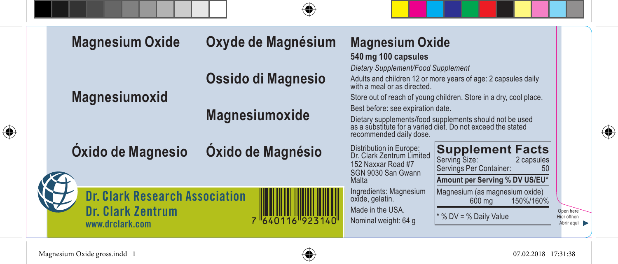

Magnesium Oxide gross.indd 1 07.02.2018 17:31:38

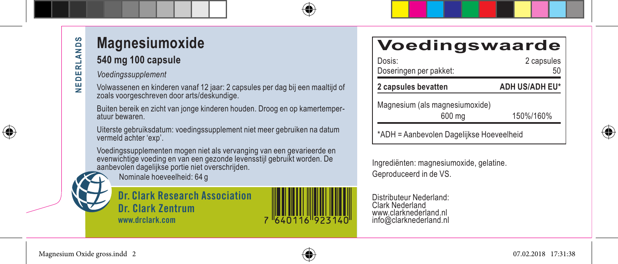⊕

# **Magnesiumoxide**

#### **540 mg 100 capsule**

*Voedingssupplement*

Volwassenen en kinderen vanaf 12 jaar: 2 capsules per dag bij een maaltijd of zoals voorgeschreven door arts/deskundige.

Buiten bereik en zicht van jonge kinderen houden. Droog en op kamertemper- atuur bewaren.

Uiterste gebruiksdatum: voedingssupplement niet meer gebruiken na datum vermeld achter 'exp'.

Voedingssupplementen mogen niet als vervanging van een gevarieerde en evenwichtige voeding en van een gezonde levensstijl gebruikt worden. De aanbevolen dagelijkse portie niet overschrijden.

Nominale hoeveelheid: 64 g

**Dr. Clark Research Association Dr. Clark Zentrum www.drclark.com**



### **Voedingswaarde**

| Dosis:<br>Doseringen per pakket:         | 2 capsules<br>50 |
|------------------------------------------|------------------|
| 2 capsules bevatten                      | ADH US/ADH EU*   |
| Magnesium (als magnesiumoxide)           |                  |
| 600 mg                                   | 150%/160%        |
| *ADH = Aanbevolen Dagelijkse Hoeveelheid |                  |



Ingrediënten: magnesiumoxide, gelatine. Geproduceerd in de VS.

Distributeur Nederland: Clark Nederland www.clarknederland.nl info@clarknederland.nl

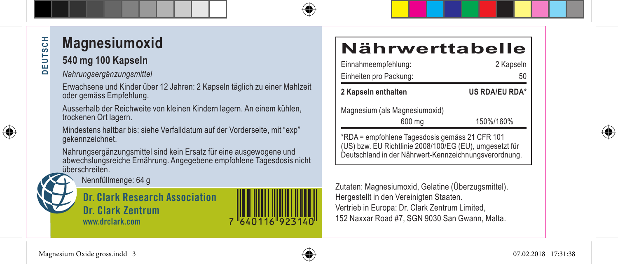# **DEUTSCH DEUTSCH**

⊕

### **Magnesiumoxid**

### **540 mg 100 Kapseln**

#### *Nahrungsergänzungsmittel*

Erwachsene und Kinder über 12 Jahren: 2 Kapseln täglich zu einer Mahlzeit oder gemäss Empfehlung.

Ausserhalb der Reichweite von kleinen Kindern lagern. An einem kühlen, trockenen Ort lagern.

Mindestens haltbar bis: siehe Verfalldatum auf der Vorderseite, mit "exp" gekennzeichnet.

Nahrungsergänzungsmittel sind kein Ersatz für eine ausgewogene und abwechslungsreiche Ernährung. Angegebene empfohlene Tagesdosis nicht überschreiten.

Nennfüllmenge: 64 g

**Dr. Clark Research Association Dr. Clark Zentrum www.drclark.com**

### **Nährwerttabelle**

| Einnahmeempfehlung:<br>Einheiten pro Packung:                                                                                                                      | 2 Kapseln<br>50       |  |
|--------------------------------------------------------------------------------------------------------------------------------------------------------------------|-----------------------|--|
| 2 Kapseln enthalten                                                                                                                                                | <b>US RDA/EU RDA*</b> |  |
| Magnesium (als Magnesiumoxid)<br>600 mg                                                                                                                            | 150%/160%             |  |
| *RDA = empfohlene Tagesdosis gemäss 21 CFR 101<br>(US) bzw. EU Richtlinie 2008/100/EG (EU), umgesetzt für<br>Deutschland in der Nährwert-Kennzeichnungsverordnung. |                       |  |

Zutaten: Magnesiumoxid, Gelatine (Überzugsmittel). Hergestellt in den Vereinigten Staaten. Vertrieb in Europa: Dr. Clark Zentrum Limited, 152 Naxxar Road #7, SGN 9030 San Gwann, Malta.



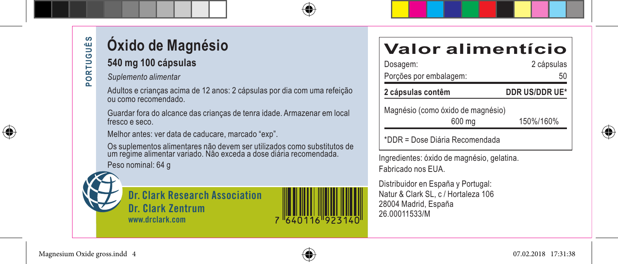**PORTUGUÉS PORTUGUÊS**

⊕

# **Óxido de Magnésio**

### **540 mg 100 cápsulas**

*Suplemento alimentar*

Adultos e crianças acima de 12 anos: 2 cápsulas por dia com uma refeição ou como recomendado.

Guardar fora do alcance das crianças de tenra idade. Armazenar em local fresco e seco.

Melhor antes: ver data de caducare, marcado "exp".

Os suplementos alimentares não devem ser utilizados como substitutos de um regime alimentar variado. Não exceda a dose diária recomendada. Peso nominal: 64 g





## **Valor alimentício**

| Dosagem:                          | 2 cápsulas     |  |
|-----------------------------------|----------------|--|
| Porções por embalagem:            | 50             |  |
| 2 cápsulas contêm                 | DDR US/DDR UE* |  |
| Magnésio (como óxido de magnésio) |                |  |
| 600 ma                            | 150%/160%      |  |
| *DDR = Dose Diária Recomendada    |                |  |

Ingredientes: óxido de magnésio, gelatina. Fabricado nos EUA.

Distribuidor en España y Portugal: Natur & Clark SL, c / Hortaleza 106 28004 Madrid, España 26.00011533/M

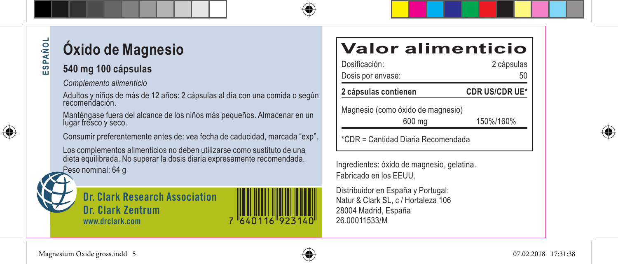# **ESPAÑOL**  ESPAÑOL

## **Óxido de Magnesio**

#### **540 mg 100 cápsulas**

*Complemento alimenticio*

Adultos y niños de más de 12 años: 2 cápsulas al día con una comida o según recomendación.

Manténgase fuera del alcance de los niños más pequeños. Almacenar en un lugar fresco y seco.

Consumir preferentemente antes de: vea fecha de caducidad, marcada "exp".

Los complementos alimenticios no deben utilizarse como sustituto de una dieta equilibrada. No superar la dosis diaria expresamente recomendada. Peso nominal: 64 g

**Dr. Clark Research Association Dr. Clark Zentrum www.drclark.com**

**Valor alimenticio**

| Dosificación:<br>Dosis por envase: | 2 cápsulas<br>50      |  |
|------------------------------------|-----------------------|--|
| 2 cápsulas contienen               | <b>CDR US/CDR UE*</b> |  |
| Magnesio (como óxido de magnesio)  |                       |  |
| 600 mg                             | 150%/160%             |  |
| *CDR = Cantidad Diaria Recomendada |                       |  |

Ingredientes: óxido de magnesio, gelatina. Fabricado en los EEUU.

Distribuidor en España y Portugal: Natur & Clark SL, c / Hortaleza 106 28004 Madrid, España 26.00011533/M



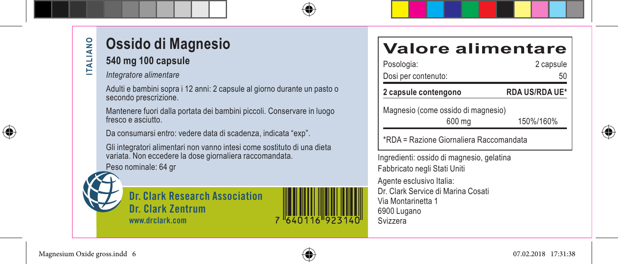$\bigoplus$ 

# **Ossido di Magnesio**

#### **540 mg 100 capsule**

*Integratore alimentare*

Adulti e bambini sopra i 12 anni: 2 capsule al giorno durante un pasto o secondo prescrizione.

Mantenere fuori dalla portata dei bambini piccoli. Conservare in luogo fresco e asciutto.

Da consumarsi entro: vedere data di scadenza, indicata "exp".

Gli integratori alimentari non vanno intesi come sostituto di una dieta variata. Non eccedere la dose giornaliera raccomandata.

Peso nominale: 64 gr





Svizzera

### **Valore alimentare**

| Posologia:<br>Dosi per contenuto:                                                                   | 2 capsule<br>50       |
|-----------------------------------------------------------------------------------------------------|-----------------------|
| 2 capsule contengono                                                                                | <b>RDA US/RDA UE*</b> |
| Magnesio (come ossido di magnesio)<br>600 mg                                                        | 150%/160%             |
| *RDA = Razione Giornaliera Raccomandata                                                             |                       |
| Ingredienti: ossido di magnesio, gelatina<br>Fabbricato negli Stati Uniti                           |                       |
| Agente esclusivo Italia:<br>Dr. Clark Service di Marina Cosati<br>Via Montarinetta 1<br>6900 Luaano |                       |



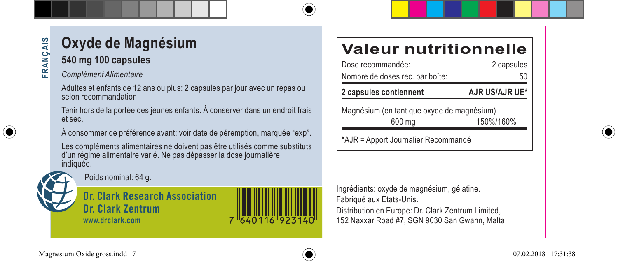#### **Oxyde de Magnésium** FRANÇAIS **FRANÇAIS 540 mg 100 capsules**

#### *Complément Alimentaire*

Adultes et enfants de 12 ans ou plus: 2 capsules par jour avec un repas ou selon recommandation.

Tenir hors de la portée des jeunes enfants. À conserver dans un endroit frais et sec.

À consommer de préférence avant: voir date de péremption, marquée "exp".

Les compléments alimentaires ne doivent pas être utilisés comme substituts d'un régime alimentaire varié. Ne pas dépasser la dose journalière indiquée.



⊕

Poids nominal: 64 g.

**Dr. Clark Research Association Dr. Clark Zentrum www.drclark.com**

### **Valeur nutritionnelle**

| Dose recommandée:<br>Nombre de doses rec. par boîte: | 2 capsules<br>50 |  |
|------------------------------------------------------|------------------|--|
| 2 capsules contiennent                               | AJR US/AJR UE*   |  |
| Magnésium (en tant que oxyde de magnésium)           |                  |  |
| 600 mg                                               | 150%/160%        |  |
| *AJR = Apport Journalier Recommandé                  |                  |  |

Ingrédients: oxyde de magnésium, gélatine. Fabriqué aux États-Unis. Distribution en Europe: Dr. Clark Zentrum Limited, 152 Naxxar Road #7, SGN 9030 San Gwann, Malta.